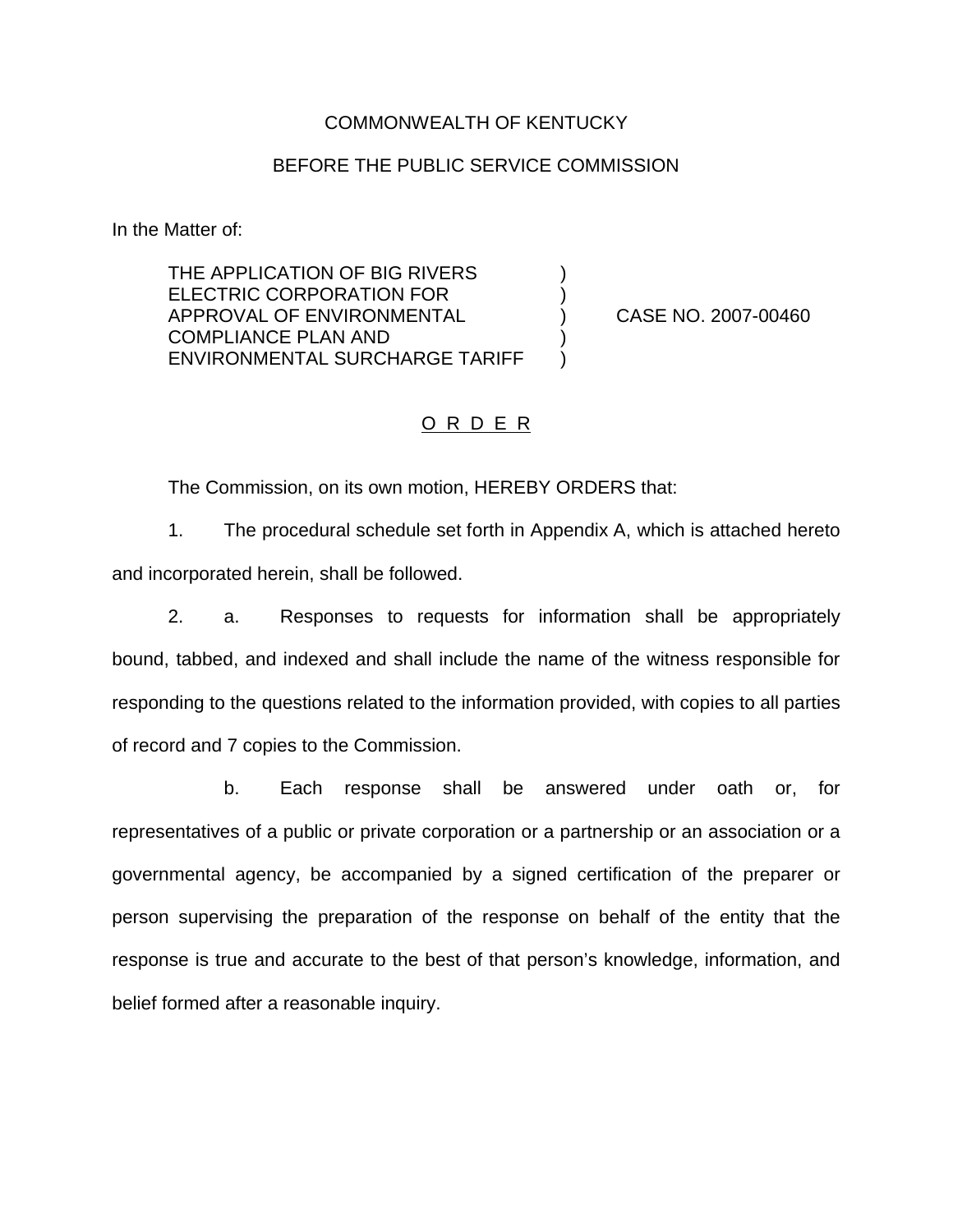### COMMONWEALTH OF KENTUCKY

### BEFORE THE PUBLIC SERVICE COMMISSION

In the Matter of:

THE APPLICATION OF BIG RIVERS  $)$ ELECTRIC CORPORATION FOR  $|$ APPROVAL OF ENVIRONMENTAL ) CASE NO. 2007-00460 COMPLIANCE PLAN AND ) ENVIRONMENTAL SURCHARGE TARIFF )

## O R D E R

The Commission, on its own motion, HEREBY ORDERS that:

1. The procedural schedule set forth in Appendix A, which is attached hereto and incorporated herein, shall be followed.

2. a. Responses to requests for information shall be appropriately bound, tabbed, and indexed and shall include the name of the witness responsible for responding to the questions related to the information provided, with copies to all parties of record and 7 copies to the Commission.

b. Each response shall be answered under oath or, for representatives of a public or private corporation or a partnership or an association or a governmental agency, be accompanied by a signed certification of the preparer or person supervising the preparation of the response on behalf of the entity that the response is true and accurate to the best of that person's knowledge, information, and belief formed after a reasonable inquiry.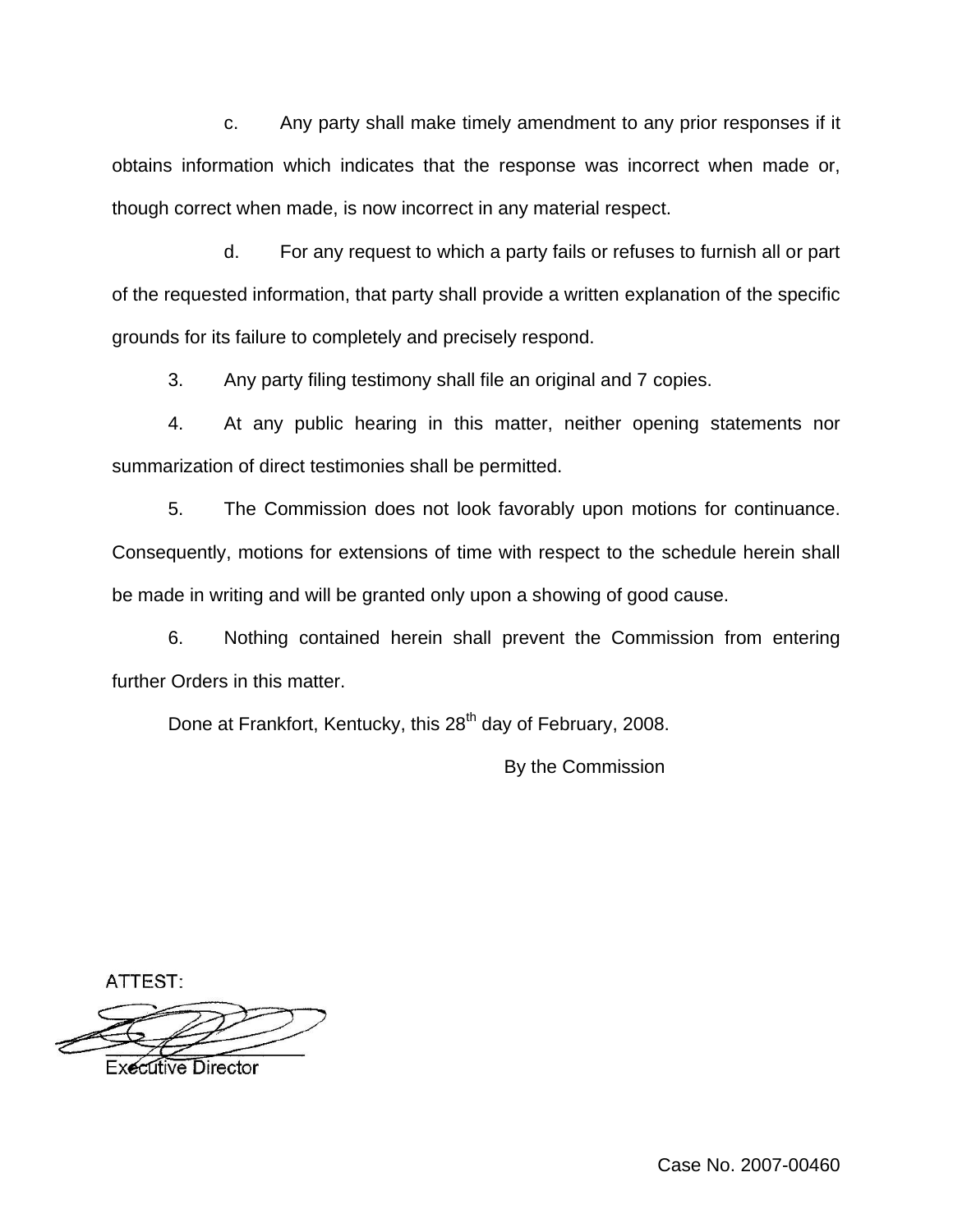c. Any party shall make timely amendment to any prior responses if it obtains information which indicates that the response was incorrect when made or, though correct when made, is now incorrect in any material respect.

d. For any request to which a party fails or refuses to furnish all or part of the requested information, that party shall provide a written explanation of the specific grounds for its failure to completely and precisely respond.

3. Any party filing testimony shall file an original and 7 copies.

4. At any public hearing in this matter, neither opening statements nor summarization of direct testimonies shall be permitted.

5. The Commission does not look favorably upon motions for continuance. Consequently, motions for extensions of time with respect to the schedule herein shall be made in writing and will be granted only upon a showing of good cause.

6. Nothing contained herein shall prevent the Commission from entering further Orders in this matter.

Done at Frankfort, Kentucky, this 28<sup>th</sup> day of February, 2008.

By the Commission

ATTEST:

**Executive Director**